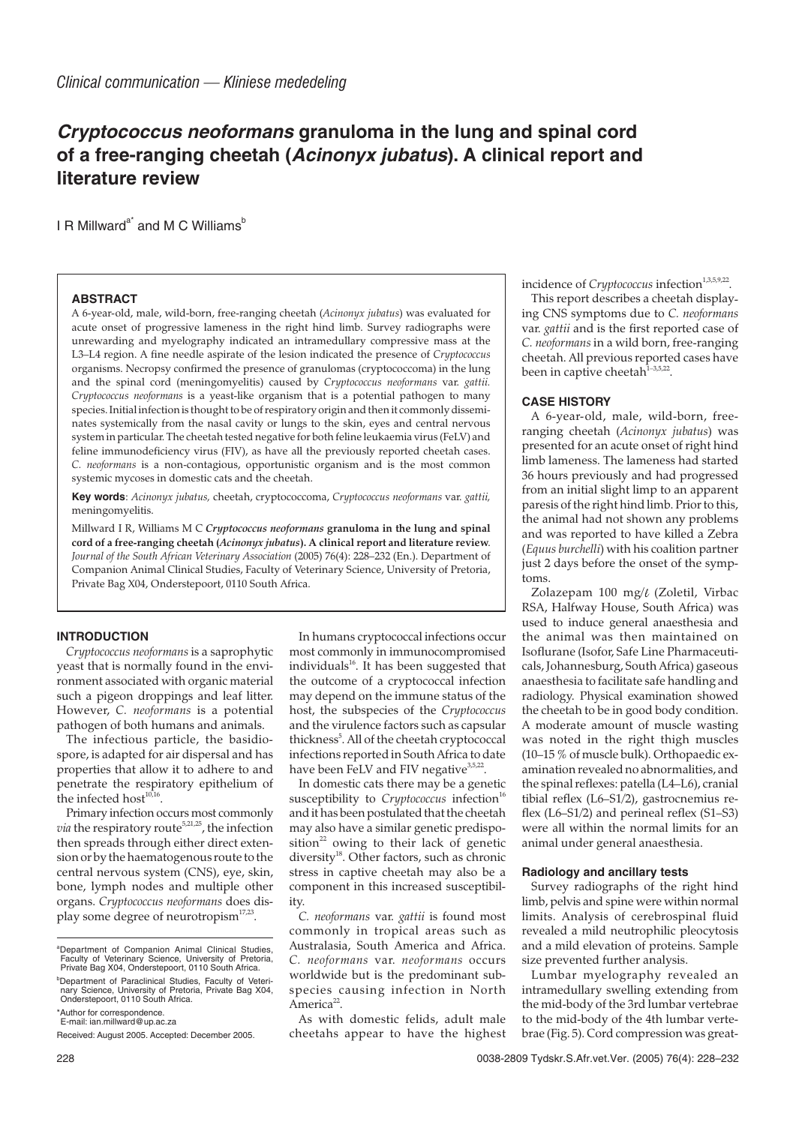# **Cryptococcus neoformans granuloma in the lung and spinal cord of a free-ranging cheetah (Acinonyx jubatus). A clinical report and literature review**

I R Millward $a^*$  and M C Williams<sup>b</sup>

#### **ABSTRACT**

A 6-year-old, male, wild-born, free-ranging cheetah (*Acinonyx jubatus*) was evaluated for acute onset of progressive lameness in the right hind limb. Survey radiographs were unrewarding and myelography indicated an intramedullary compressive mass at the L3–L4 region. A fine needle aspirate of the lesion indicated the presence of *Cryptococcus* organisms. Necropsy confirmed the presence of granulomas (cryptococcoma) in the lung and the spinal cord (meningomyelitis) caused by *Cryptococcus neoformans* var. *gattii. Cryptococcus neoformans* is a yeast-like organism that is a potential pathogen to many species. Initial infection is thought to be of respiratory origin and then it commonly disseminates systemically from the nasal cavity or lungs to the skin, eyes and central nervous system in particular. The cheetah tested negative for both feline leukaemia virus (FeLV) and feline immunodeficiency virus (FIV), as have all the previously reported cheetah cases. *C. neoformans* is a non-contagious, opportunistic organism and is the most common systemic mycoses in domestic cats and the cheetah.

**Key words**: *Acinonyx jubatus,* cheetah, cryptococcoma, *Cryptococcus neoformans* var. *gattii,* meningomyelitis.

Millward I R, Williams M C *Cryptococcus neoformans* **granuloma in the lung and spinal cord of a free-ranging cheetah (***Acinonyx jubatus***). A clinical report and literature review**. *Journal of the South African Veterinary Association* (2005) 76(4): 228–232 (En.). Department of Companion Animal Clinical Studies, Faculty of Veterinary Science, University of Pretoria, Private Bag X04, Onderstepoort, 0110 South Africa.

## **INTRODUCTION**

*Cryptococcus neoformans* is a saprophytic yeast that is normally found in the environment associated with organic material such a pigeon droppings and leaf litter. However, *C. neoformans* is a potential pathogen of both humans and animals.

The infectious particle, the basidiospore, is adapted for air dispersal and has properties that allow it to adhere to and penetrate the respiratory epithelium of the infected host $10,16$ .

Primary infection occurs most commonly *via* the respiratory route<sup>5,21,25</sup>, the infection then spreads through either direct extension or by the haematogenous route to the central nervous system (CNS), eye, skin, bone, lymph nodes and multiple other organs. *Cryptococcus neoformans* does display some degree of neurotropism<sup>17,23</sup>.

In humans cryptococcal infections occur most commonly in immunocompromised individuals<sup>16</sup>. It has been suggested that the outcome of a cryptococcal infection may depend on the immune status of the host, the subspecies of the *Cryptococcus* and the virulence factors such as capsular thickness<sup>5</sup>. All of the cheetah cryptococcal infections reported in South Africa to date have been FeLV and FIV negative<sup>3,5,22</sup>.

In domestic cats there may be a genetic susceptibility to *Cryptococcus* infection<sup>16</sup> and it has been postulated that the cheetah may also have a similar genetic predisposition<sup>22</sup> owing to their lack of genetic diversity<sup>18</sup>. Other factors, such as chronic stress in captive cheetah may also be a component in this increased susceptibility.

*C. neoformans* var. *gattii* is found most commonly in tropical areas such as Australasia, South America and Africa. *C. neoformans* var. *neoformans* occurs worldwide but is the predominant subspecies causing infection in North America<sup>22</sup>.

As with domestic felids, adult male cheetahs appear to have the highest incidence of *Cryptococcus* infection<sup>1,3,5,9,22</sup>.

This report describes a cheetah displaying CNS symptoms due to *C. neoformans* var. *gattii* and is the first reported case of *C. neoformans* in a wild born, free-ranging cheetah. All previous reported cases have been in captive cheetah $1-3,5,22$ .

## **CASE HISTORY**

A 6-year-old, male, wild-born, freeranging cheetah (*Acinonyx jubatus*) was presented for an acute onset of right hind limb lameness. The lameness had started 36 hours previously and had progressed from an initial slight limp to an apparent paresis of the right hind limb. Prior to this, the animal had not shown any problems and was reported to have killed a Zebra (*Equus burchelli*) with his coalition partner just 2 days before the onset of the symptoms.

Zolazepam 100 mg/l (Zoletil, Virbac RSA, Halfway House, South Africa) was used to induce general anaesthesia and the animal was then maintained on Isoflurane (Isofor, Safe Line Pharmaceuticals, Johannesburg, South Africa) gaseous anaesthesia to facilitate safe handling and radiology. Physical examination showed the cheetah to be in good body condition. A moderate amount of muscle wasting was noted in the right thigh muscles (10–15 % of muscle bulk). Orthopaedic examination revealed no abnormalities, and the spinal reflexes: patella (L4–L6), cranial tibial reflex (L6–S1/2), gastrocnemius reflex (L6–S1/2) and perineal reflex (S1–S3) were all within the normal limits for an animal under general anaesthesia.

#### **Radiology and ancillary tests**

Survey radiographs of the right hind limb, pelvis and spine were within normal limits. Analysis of cerebrospinal fluid revealed a mild neutrophilic pleocytosis and a mild elevation of proteins. Sample size prevented further analysis.

Lumbar myelography revealed an intramedullary swelling extending from the mid-body of the 3rd lumbar vertebrae to the mid-body of the 4th lumbar vertebrae (Fig. 5). Cord compression was great-

<sup>&</sup>lt;sup>a</sup>Department of Companion Animal Clinical Studies, Faculty of Veterinary Science, University of Pretoria, Private Bag X04, Onderstepoort, 0110 South Africa.

<sup>&</sup>lt;sup>b</sup>Department of Paraclinical Studies. Faculty of Veteri-Department of Paraclinical Studies, Faculty of Veteri-nary Science, University of Pretoria, Private Bag X04, Onderstepoort, 0110 South Africa.

<sup>\*</sup>Author for correspondence. E-mail: ian.millward@up.ac.za

Received: August 2005. Accepted: December 2005.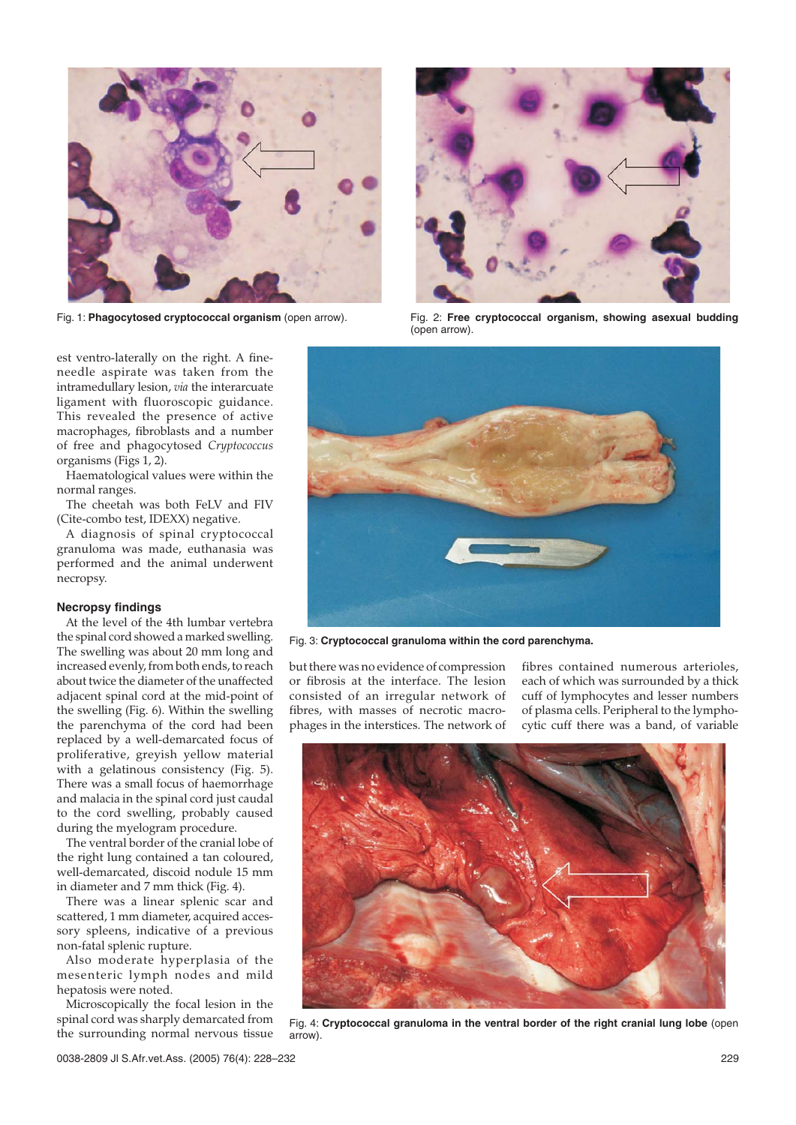



Fig. 1: **Phagocytosed cryptococcal organism** (open arrow). Fig. 2: **Free cryptococcal organism, showing asexual budding** (open arrow).

est ventro-laterally on the right. A fineneedle aspirate was taken from the intramedullary lesion, *via* the interarcuate ligament with fluoroscopic guidance. This revealed the presence of active macrophages, fibroblasts and a number of free and phagocytosed *Cryptococcus* organisms (Figs 1, 2).

Haematological values were within the normal ranges.

The cheetah was both FeLV and FIV (Cite-combo test, IDEXX) negative.

A diagnosis of spinal cryptococcal granuloma was made, euthanasia was performed and the animal underwent necropsy.

# **Necropsy findings**

At the level of the 4th lumbar vertebra the spinal cord showed a marked swelling. The swelling was about 20 mm long and increased evenly, from both ends, to reach about twice the diameter of the unaffected adjacent spinal cord at the mid-point of the swelling (Fig. 6). Within the swelling the parenchyma of the cord had been replaced by a well-demarcated focus of proliferative, greyish yellow material with a gelatinous consistency (Fig. 5). There was a small focus of haemorrhage and malacia in the spinal cord just caudal to the cord swelling, probably caused during the myelogram procedure.

The ventral border of the cranial lobe of the right lung contained a tan coloured, well-demarcated, discoid nodule 15 mm in diameter and 7 mm thick (Fig. 4).

There was a linear splenic scar and scattered, 1 mm diameter, acquired accessory spleens, indicative of a previous non-fatal splenic rupture.

Also moderate hyperplasia of the mesenteric lymph nodes and mild hepatosis were noted.

Microscopically the focal lesion in the spinal cord was sharply demarcated from the surrounding normal nervous tissue



Fig. 3: **Cryptococcal granuloma within the cord parenchyma.**

but there was no evidence of compression or fibrosis at the interface. The lesion consisted of an irregular network of fibres, with masses of necrotic macrophages in the interstices. The network of

fibres contained numerous arterioles, each of which was surrounded by a thick cuff of lymphocytes and lesser numbers of plasma cells. Peripheral to the lymphocytic cuff there was a band, of variable



Fig. 4: **Cryptococcal granuloma in the ventral border of the right cranial lung lobe** (open arrow).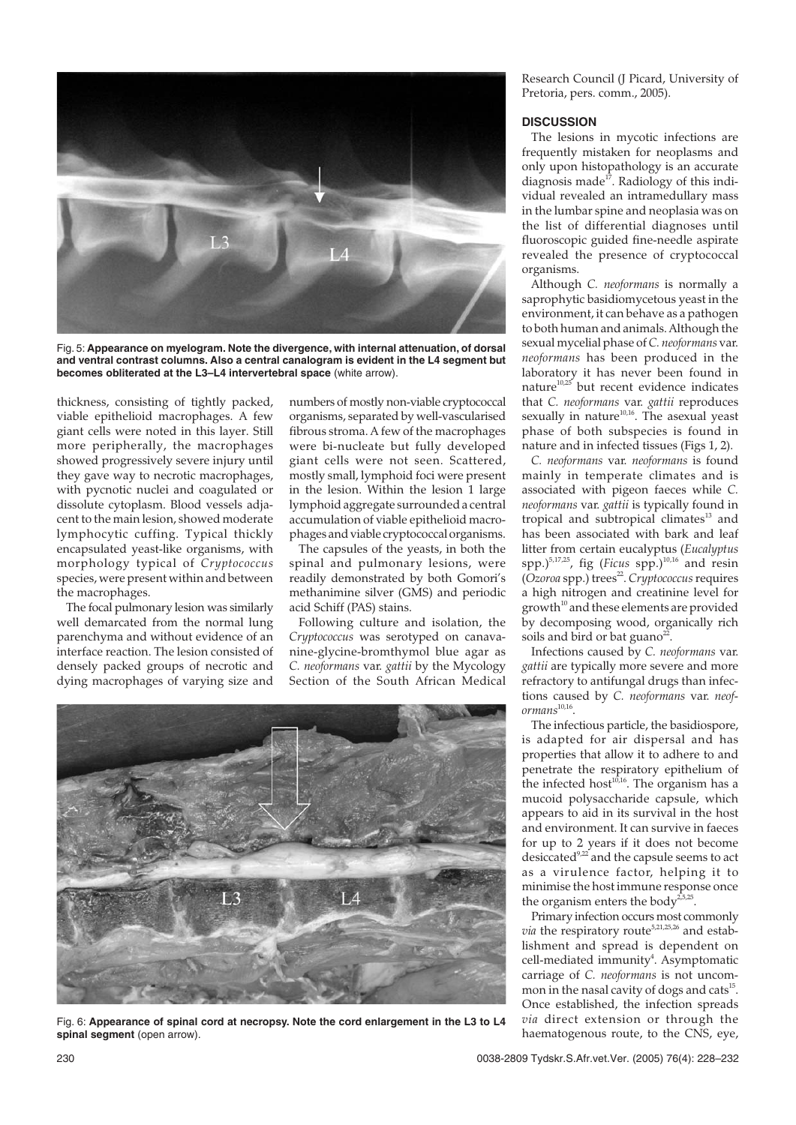

Fig. 5: **Appearance on myelogram. Note the divergence, with internal attenuation, of dorsal and ventral contrast columns. Also a central canalogram is evident in the L4 segment but becomes obliterated at the L3–L4 intervertebral space** (white arrow).

thickness, consisting of tightly packed, viable epithelioid macrophages. A few giant cells were noted in this layer. Still more peripherally, the macrophages showed progressively severe injury until they gave way to necrotic macrophages, with pycnotic nuclei and coagulated or dissolute cytoplasm. Blood vessels adjacent to the main lesion, showed moderate lymphocytic cuffing. Typical thickly encapsulated yeast-like organisms, with morphology typical of *Cryptococcus* species, were present within and between the macrophages.

The focal pulmonary lesion was similarly well demarcated from the normal lung parenchyma and without evidence of an interface reaction. The lesion consisted of densely packed groups of necrotic and dying macrophages of varying size and

numbers of mostly non-viable cryptococcal organisms, separated by well-vascularised fibrous stroma. A few of the macrophages were bi-nucleate but fully developed giant cells were not seen. Scattered, mostly small, lymphoid foci were present in the lesion. Within the lesion 1 large lymphoid aggregate surrounded a central accumulation of viable epithelioid macrophages and viable cryptococcal organisms.

The capsules of the yeasts, in both the spinal and pulmonary lesions, were readily demonstrated by both Gomori's methanimine silver (GMS) and periodic acid Schiff (PAS) stains.

Following culture and isolation, the *Cryptococcus* was serotyped on canavanine-glycine-bromthymol blue agar as *C. neoformans* var. *gattii* by the Mycology Section of the South African Medical



Fig. 6: **Appearance of spinal cord at necropsy. Note the cord enlargement in the L3 to L4** spinal segment (open arrow).

Research Council (J Picard, University of Pretoria, pers. comm., 2005).

### **DISCUSSION**

The lesions in mycotic infections are frequently mistaken for neoplasms and only upon histopathology is an accurate diagnosis made<sup>17</sup>. Radiology of this individual revealed an intramedullary mass in the lumbar spine and neoplasia was on the list of differential diagnoses until fluoroscopic guided fine-needle aspirate revealed the presence of cryptococcal organisms.

Although *C. neoformans* is normally a saprophytic basidiomycetous yeast in the environment, it can behave as a pathogen to both human and animals. Although the sexual mycelial phase of *C. neoformans* var. *neoformans* has been produced in the laboratory it has never been found in nature $10,25$  but recent evidence indicates that *C. neoformans* var. *gattii* reproduces sexually in nature<sup>10,16</sup>. The asexual yeast phase of both subspecies is found in nature and in infected tissues (Figs 1, 2).

*C. neoformans* var. *neoformans* is found mainly in temperate climates and is associated with pigeon faeces while *C. neoformans* var. *gattii* is typically found in tropical and subtropical climates<sup>13</sup> and has been associated with bark and leaf litter from certain eucalyptus (*Eucalyptus* spp.)<sup>5,17,25</sup>, fig (*Ficus* spp.)<sup>10,16</sup> and resin (Ozoroa spp.) trees<sup>22</sup>. Cryptococcus requires a high nitrogen and creatinine level for  $growth^{10}$  and these elements are provided by decomposing wood, organically rich soils and bird or bat guano<sup>22</sup>.

Infections caused by *C. neoformans* var. *gattii* are typically more severe and more refractory to antifungal drugs than infections caused by *C. neoformans* var. *neoformans*<sup>10,16</sup>.

The infectious particle, the basidiospore, is adapted for air dispersal and has properties that allow it to adhere to and penetrate the respiratory epithelium of the infected host<sup>10,16</sup>. The organism has a mucoid polysaccharide capsule, which appears to aid in its survival in the host and environment. It can survive in faeces for up to 2 years if it does not become desiccated<sup>9,22</sup> and the capsule seems to act as a virulence factor, helping it to minimise the host immune response once the organism enters the body<sup>2,5,</sup>

Primary infection occurs most commonly *via* the respiratory route<sup>5,21,25,26</sup> and establishment and spread is dependent on cell-mediated immunity<sup>4</sup>. Asymptomatic carriage of *C. neoformans* is not uncommon in the nasal cavity of dogs and cats<sup>15</sup>. Once established, the infection spreads *via* direct extension or through the haematogenous route, to the CNS, eye,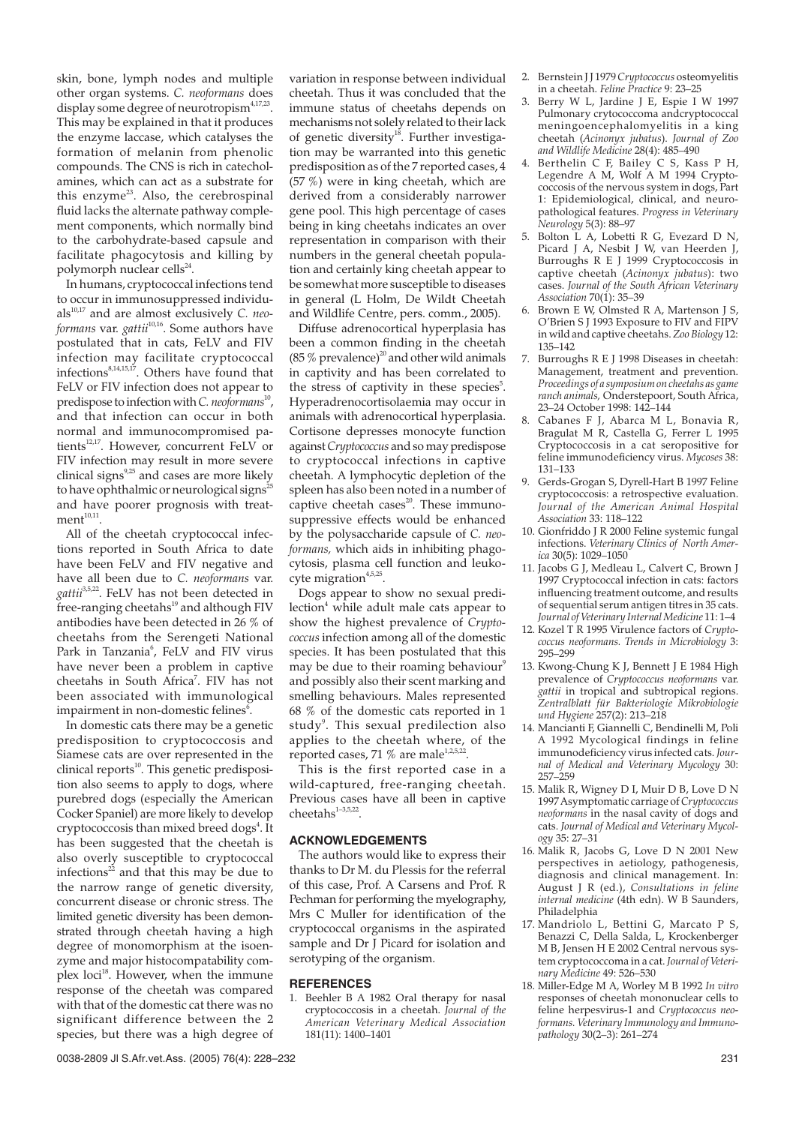skin, bone, lymph nodes and multiple other organ systems. *C. neoformans* does display some degree of neurotropism<sup>4,17,23</sup>. This may be explained in that it produces the enzyme laccase, which catalyses the formation of melanin from phenolic compounds. The CNS is rich in catecholamines, which can act as a substrate for this enzyme<sup>23</sup>. Also, the cerebrospinal fluid lacks the alternate pathway complement components, which normally bind to the carbohydrate-based capsule and facilitate phagocytosis and killing by polymorph nuclear cells<sup>24</sup>.

In humans, cryptococcal infections tend to occur in immunosuppressed individuals<sup>10,17</sup> and are almost exclusively *C. neoformans* var. *gattii*10,16. Some authors have postulated that in cats, FeLV and FIV infection may facilitate cryptococcal infections $8,14,15,17$ . Others have found that FeLV or FIV infection does not appear to predispose to infection with *C. neoformans*<sup>10</sup>, and that infection can occur in both normal and immunocompromised patients<sup>12,17</sup>. However, concurrent FeLV or FIV infection may result in more severe clinical signs $9,25$  and cases are more likely to have ophthalmic or neurological signs $^{25}$ and have poorer prognosis with treat $ment^{10,11}$ .

All of the cheetah cryptococcal infections reported in South Africa to date have been FeLV and FIV negative and have all been due to *C. neoformans* var. gattii<sup>3,5,22</sup>. FeLV has not been detected in free-ranging cheetahs<sup>19</sup> and although FIV antibodies have been detected in 26 % of cheetahs from the Serengeti National Park in Tanzania<sup>6</sup>, FeLV and FIV virus have never been a problem in captive cheetahs in South Africa<sup>7</sup>. FIV has not been associated with immunological impairment in non-domestic felines $\rm ^{6}$ .

In domestic cats there may be a genetic predisposition to cryptococcosis and Siamese cats are over represented in the  $clinical reports<sup>10</sup>$ . This genetic predisposition also seems to apply to dogs, where purebred dogs (especially the American Cocker Spaniel) are more likely to develop cryptococcosis than mixed breed dogs<sup>4</sup>. It has been suggested that the cheetah is also overly susceptible to cryptococcal infections $^{22}$  and that this may be due to the narrow range of genetic diversity, concurrent disease or chronic stress. The limited genetic diversity has been demonstrated through cheetah having a high degree of monomorphism at the isoenzyme and major histocompatability complex loci<sup>18</sup>. However, when the immune response of the cheetah was compared with that of the domestic cat there was no significant difference between the 2 species, but there was a high degree of variation in response between individual cheetah. Thus it was concluded that the immune status of cheetahs depends on mechanisms not solely related to their lack of genetic diversity<sup>18</sup>. Further investigation may be warranted into this genetic predisposition as of the 7 reported cases, 4 (57 %) were in king cheetah, which are derived from a considerably narrower gene pool. This high percentage of cases being in king cheetahs indicates an over representation in comparison with their numbers in the general cheetah population and certainly king cheetah appear to be somewhat more susceptible to diseases in general (L Holm, De Wildt Cheetah and Wildlife Centre, pers. comm., 2005).

Diffuse adrenocortical hyperplasia has been a common finding in the cheetah (85  $%$  prevalence)<sup>20</sup> and other wild animals in captivity and has been correlated to the stress of captivity in these species<sup>5</sup>. Hyperadrenocortisolaemia may occur in animals with adrenocortical hyperplasia. Cortisone depresses monocyte function against*Cryptococcus* and so may predispose to cryptococcal infections in captive cheetah. A lymphocytic depletion of the spleen has also been noted in a number of captive cheetah cases<sup>20</sup>. These immunosuppressive effects would be enhanced by the polysaccharide capsule of *C. neoformans,* which aids in inhibiting phagocytosis, plasma cell function and leukocyte migration $4,5,25$ .

Dogs appear to show no sexual predi $l$ ection<sup>4</sup> while adult male cats appear to show the highest prevalence of *Cryptococcus* infection among all of the domestic species. It has been postulated that this may be due to their roaming behaviour $\theta$ and possibly also their scent marking and smelling behaviours. Males represented 68 % of the domestic cats reported in 1 study<sup>9</sup>. This sexual predilection also applies to the cheetah where, of the reported cases, 71 % are male $1,2,5,22$ .

This is the first reported case in a wild-captured, free-ranging cheetah. Previous cases have all been in captive  $cheetahs<sup>1-3,5,22</sup>$ 

# **ACKNOWLEDGEMENTS**

The authors would like to express their thanks to Dr M. du Plessis for the referral of this case, Prof. A Carsens and Prof. R Pechman for performing the myelography, Mrs C Muller for identification of the cryptococcal organisms in the aspirated sample and Dr J Picard for isolation and serotyping of the organism.

#### **REFERENCES**

1. Beehler B A 1982 Oral therapy for nasal cryptococcosis in a cheetah. *Journal of the American Veterinary Medical Association* 181(11): 1400–1401

- 2. Bernstein J J 1979*Cryptococcus* osteomyelitis in a cheetah. *Feline Practice* 9: 23–25
- Berry W L, Jardine J E, Espie I W 1997 Pulmonary crytococcoma andcryptococcal meningoencephalomyelitis in a king cheetah (*Acinonyx jubatus*). *Journal of Zoo and Wildlife Medicine* 28(4): 485–490
- 4. Berthelin C F, Bailey C S, Kass P H, Legendre A M, Wolf A M 1994 Cryptococcosis of the nervous system in dogs, Part 1: Epidemiological, clinical, and neuropathological features. *Progress in Veterinary Neurology* 5(3): 88–97
- 5. Bolton L A, Lobetti R G, Evezard D N, Picard J A, Nesbit J W, van Heerden J, Burroughs R E J 1999 Cryptococcosis in captive cheetah (*Acinonyx jubatus*): two cases. *Journal of the South African Veterinary Association* 70(1): 35–39
- 6. Brown E W, Olmsted R A, Martenson J S, O'Brien S J 1993 Exposure to FIV and FIPV in wild and captive cheetahs.*Zoo Biology* 12: 135–142
- 7. Burroughs R E J 1998 Diseases in cheetah: Management, treatment and prevention. *Proceedings of a symposium on cheetahs as game ranch animals,* Onderstepoort, South Africa, 23–24 October 1998: 142–144
- 8. Cabanes F J, Abarca M L, Bonavia R, Bragulat M R, Castella G, Ferrer L 1995 Cryptococcosis in a cat seropositive for feline immunodeficiency virus. *Mycoses* 38: 131–133
- 9. Gerds-Grogan S, Dyrell-Hart B 1997 Feline cryptococcosis: a retrospective evaluation. *Journal of the American Animal Hospital Association* 33: 118–122
- 10. Gionfriddo J R 2000 Feline systemic fungal infections. *Veterinary Clinics of North America* 30(5): 1029–1050
- 11. Jacobs G J, Medleau L, Calvert C, Brown J 1997 Cryptococcal infection in cats: factors influencing treatment outcome, and results of sequential serum antigen titres in 35 cats. *Journal of Veterinary Internal Medicine* 11: 1–4
- 12. Kozel T R 1995 Virulence factors of *Cryptococcus neoformans. Trends in Microbiology* 3: 295–299
- 13. Kwong-Chung K J, Bennett J E 1984 High prevalence of *Cryptococcus neoformans* var. *gattii* in tropical and subtropical regions. *Zentralblatt für Bakteriologie Mikrobiologie und Hygiene* 257(2): 213–218
- 14. Mancianti F, Giannelli C, Bendinelli M, Poli A 1992 Mycological findings in feline immunodeficiency virus infected cats. *Journal of Medical and Veterinary Mycology* 30: 257–259
- 15. Malik R, Wigney D I, Muir D B, Love D N 1997 Asymptomatic carriage of*Cryptococcus neoformans* in the nasal cavity of dogs and cats. *Journal of Medical and Veterinary Mycology* 35: 27–31
- 16. Malik R, Jacobs G, Love D N 2001 New perspectives in aetiology, pathogenesis, diagnosis and clinical management. In: August J R (ed.), *Consultations in feline internal medicine* (4th edn). W B Saunders, Philadelphia
- 17. Mandriolo L, Bettini G, Marcato P S, Benazzi C, Della Salda, L, Krockenberger M B, Jensen H E 2002 Central nervous system cryptococcoma in a cat. *Journal of Veterinary Medicine* 49: 526–530
- 18. Miller-Edge M A, Worley M B 1992 *In vitro* responses of cheetah mononuclear cells to feline herpesvirus-1 and *Cryptococcus neoformans. Veterinary Immunology and Immunopathology* 30(2–3): 261–274